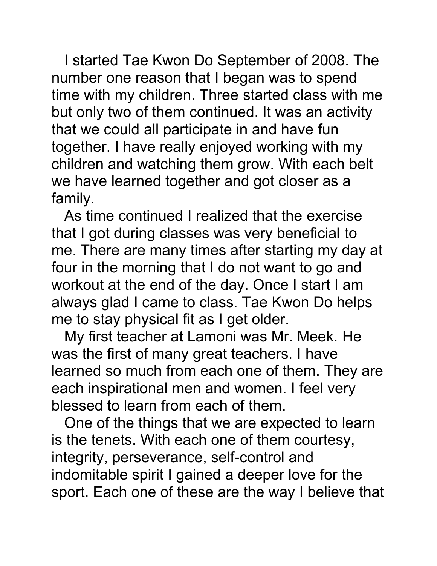I started Tae Kwon Do September of 2008. The number one reason that I began was to spend time with my children. Three started class with me but only two of them continued. It was an activity that we could all participate in and have fun together. I have really enjoyed working with my children and watching them grow. With each belt we have learned together and got closer as a family.

As time continued I realized that the exercise that I got during classes was very beneficial to me. There are many times after starting my day at four in the morning that I do not want to go and workout at the end of the day. Once I start I am always glad I came to class. Tae Kwon Do helps me to stay physical fit as I get older.

My first teacher at Lamoni was Mr. Meek. He was the first of many great teachers. I have learned so much from each one of them. They are each inspirational men and women. I feel very blessed to learn from each of them.

One of the things that we are expected to learn is the tenets. With each one of them courtesy, integrity, perseverance, self-control and indomitable spirit I gained a deeper love for the sport. Each one of these are the way I believe that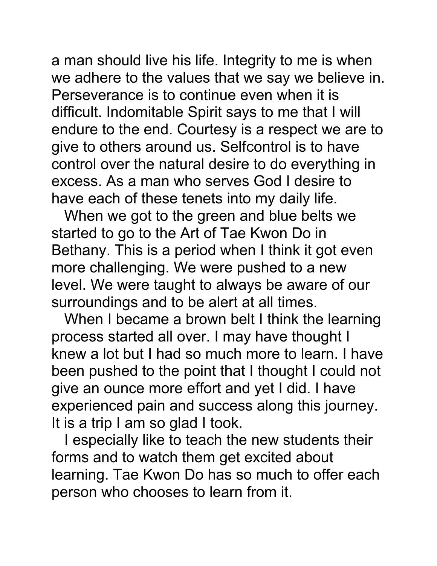a man should live his life. Integrity to me is when we adhere to the values that we say we believe in. Perseverance is to continue even when it is difficult. Indomitable Spirit says to me that I will endure to the end. Courtesy is a respect we are to give to others around us. Selfcontrol is to have control over the natural desire to do everything in excess. As a man who serves God I desire to have each of these tenets into my daily life.

When we got to the green and blue belts we started to go to the Art of Tae Kwon Do in Bethany. This is a period when I think it got even more challenging. We were pushed to a new level. We were taught to always be aware of our surroundings and to be alert at all times.

When I became a brown belt I think the learning process started all over. I may have thought I knew a lot but I had so much more to learn. I have been pushed to the point that I thought I could not give an ounce more effort and yet I did. I have experienced pain and success along this journey. It is a trip I am so glad I took.

I especially like to teach the new students their forms and to watch them get excited about learning. Tae Kwon Do has so much to offer each person who chooses to learn from it.